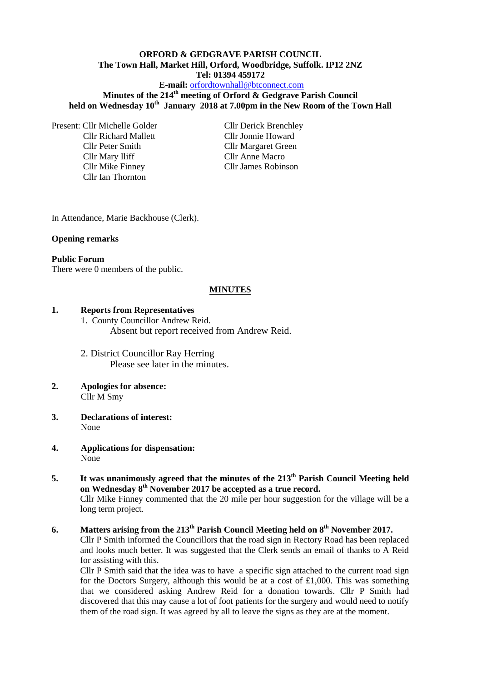## **ORFORD & GEDGRAVE PARISH COUNCIL The Town Hall, Market Hill, Orford, Woodbridge, Suffolk. IP12 2NZ Tel: 01394 459172**

#### **E-mail:** [orfordtownhall@btconnect.com](mailto:orfordtownhall@btconnect.com)

## **Minutes of the 214th meeting of Orford & Gedgrave Parish Council held on Wednesday 10th January 2018 at 7.00pm in the New Room of the Town Hall**

Present: Cllr Michelle Golder Cllr Derick Brenchley Cllr Richard Mallett Cllr Jonnie Howard Cllr Peter Smith Cllr Margaret Green Cllr Mary Iliff Cllr Anne Macro Cllr Mike Finney Cllr James Robinson Cllr Ian Thornton

In Attendance, Marie Backhouse (Clerk).

#### **Opening remarks**

#### **Public Forum**

There were 0 members of the public.

#### **MINUTES**

#### **1. Reports from Representatives**

1. County Councillor Andrew Reid. Absent but report received from Andrew Reid.

2. District Councillor Ray Herring Please see later in the minutes.

- **2. Apologies for absence:** Cllr M Smy
- **3. Declarations of interest:** None
- **4. Applications for dispensation:** None
- **5. It was unanimously agreed that the minutes of the 213th Parish Council Meeting held on Wednesday 8 th November 2017 be accepted as a true record.** Cllr Mike Finney commented that the 20 mile per hour suggestion for the village will be a long term project.
- **6. Matters arising from the 213th Parish Council Meeting held on 8 th November 2017.** Cllr P Smith informed the Councillors that the road sign in Rectory Road has been replaced and looks much better. It was suggested that the Clerk sends an email of thanks to A Reid for assisting with this.

Cllr P Smith said that the idea was to have a specific sign attached to the current road sign for the Doctors Surgery, although this would be at a cost of £1,000. This was something that we considered asking Andrew Reid for a donation towards. Cllr P Smith had discovered that this may cause a lot of foot patients for the surgery and would need to notify them of the road sign. It was agreed by all to leave the signs as they are at the moment.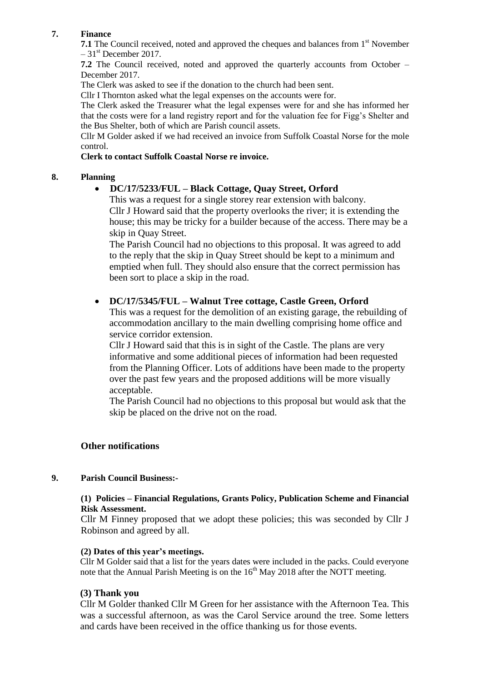## **7. Finance**

**7.1** The Council received, noted and approved the cheques and balances from 1<sup>st</sup> November  $-31<sup>st</sup>$  December 2017.

**7.2** The Council received, noted and approved the quarterly accounts from October – December 2017.

The Clerk was asked to see if the donation to the church had been sent.

Cllr I Thornton asked what the legal expenses on the accounts were for.

The Clerk asked the Treasurer what the legal expenses were for and she has informed her that the costs were for a land registry report and for the valuation fee for Figg's Shelter and the Bus Shelter, both of which are Parish council assets.

Cllr M Golder asked if we had received an invoice from Suffolk Coastal Norse for the mole control.

#### **Clerk to contact Suffolk Coastal Norse re invoice.**

## **8. Planning**

## **DC/17/5233/FUL – Black Cottage, Quay Street, Orford**

This was a request for a single storey rear extension with balcony. Cllr J Howard said that the property overlooks the river; it is extending the house; this may be tricky for a builder because of the access. There may be a skip in Quay Street.

The Parish Council had no objections to this proposal. It was agreed to add to the reply that the skip in Quay Street should be kept to a minimum and emptied when full. They should also ensure that the correct permission has been sort to place a skip in the road.

## **DC/17/5345/FUL – Walnut Tree cottage, Castle Green, Orford**

This was a request for the demolition of an existing garage, the rebuilding of accommodation ancillary to the main dwelling comprising home office and service corridor extension.

Cllr J Howard said that this is in sight of the Castle. The plans are very informative and some additional pieces of information had been requested from the Planning Officer. Lots of additions have been made to the property over the past few years and the proposed additions will be more visually acceptable.

The Parish Council had no objections to this proposal but would ask that the skip be placed on the drive not on the road.

# **Other notifications**

## **9. Parish Council Business:-**

## **(1) Policies – Financial Regulations, Grants Policy, Publication Scheme and Financial Risk Assessment.**

Cllr M Finney proposed that we adopt these policies; this was seconded by Cllr J Robinson and agreed by all.

#### **(2) Dates of this year's meetings.**

Cllr M Golder said that a list for the years dates were included in the packs. Could everyone note that the Annual Parish Meeting is on the  $16<sup>th</sup>$  May 2018 after the NOTT meeting.

## **(3) Thank you**

Cllr M Golder thanked Cllr M Green for her assistance with the Afternoon Tea. This was a successful afternoon, as was the Carol Service around the tree. Some letters and cards have been received in the office thanking us for those events.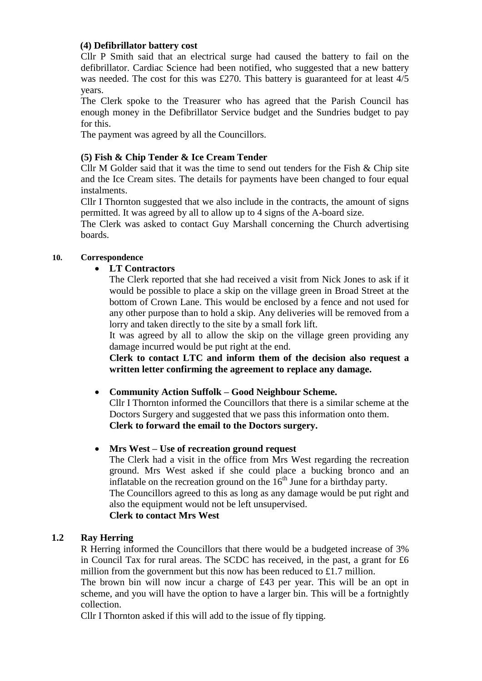## **(4) Defibrillator battery cost**

Cllr P Smith said that an electrical surge had caused the battery to fail on the defibrillator. Cardiac Science had been notified, who suggested that a new battery was needed. The cost for this was £270. This battery is guaranteed for at least 4/5 years.

The Clerk spoke to the Treasurer who has agreed that the Parish Council has enough money in the Defibrillator Service budget and the Sundries budget to pay for this.

The payment was agreed by all the Councillors.

# **(5) Fish & Chip Tender & Ice Cream Tender**

Cllr M Golder said that it was the time to send out tenders for the Fish & Chip site and the Ice Cream sites. The details for payments have been changed to four equal instalments.

Cllr I Thornton suggested that we also include in the contracts, the amount of signs permitted. It was agreed by all to allow up to 4 signs of the A-board size.

The Clerk was asked to contact Guy Marshall concerning the Church advertising boards.

# **10. Correspondence**

# **LT Contractors**

The Clerk reported that she had received a visit from Nick Jones to ask if it would be possible to place a skip on the village green in Broad Street at the bottom of Crown Lane. This would be enclosed by a fence and not used for any other purpose than to hold a skip. Any deliveries will be removed from a lorry and taken directly to the site by a small fork lift.

It was agreed by all to allow the skip on the village green providing any damage incurred would be put right at the end.

**Clerk to contact LTC and inform them of the decision also request a written letter confirming the agreement to replace any damage.**

# **Community Action Suffolk – Good Neighbour Scheme.**

Cllr I Thornton informed the Councillors that there is a similar scheme at the Doctors Surgery and suggested that we pass this information onto them. **Clerk to forward the email to the Doctors surgery.**

# **Mrs West – Use of recreation ground request**

The Clerk had a visit in the office from Mrs West regarding the recreation ground. Mrs West asked if she could place a bucking bronco and an inflatable on the recreation ground on the  $16<sup>th</sup>$  June for a birthday party. The Councillors agreed to this as long as any damage would be put right and also the equipment would not be left unsupervised. **Clerk to contact Mrs West**

# **1.2 Ray Herring**

R Herring informed the Councillors that there would be a budgeted increase of 3% in Council Tax for rural areas. The SCDC has received, in the past, a grant for £6 million from the government but this now has been reduced to £1.7 million.

The brown bin will now incur a charge of £43 per year. This will be an opt in scheme, and you will have the option to have a larger bin. This will be a fortnightly collection.

Cllr I Thornton asked if this will add to the issue of fly tipping.